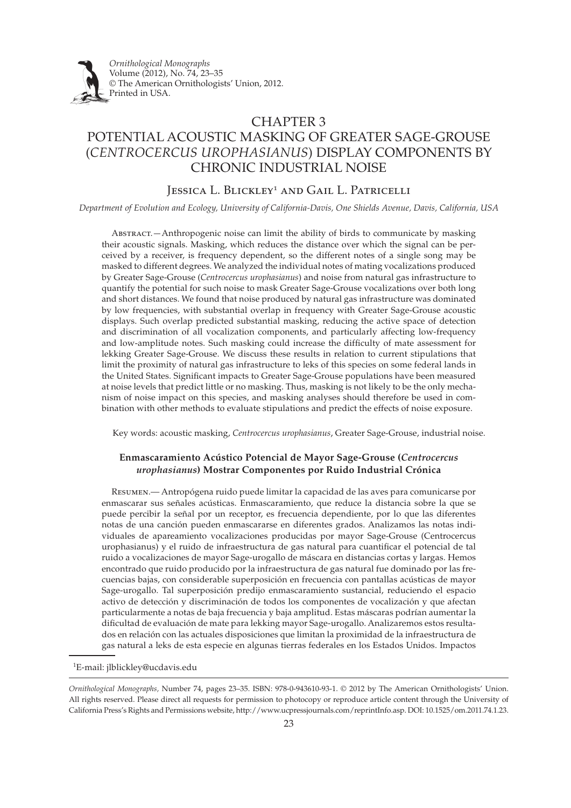

# CHAPTER 3

# POTENTIAL ACOUSTIC MASKING OF GREATER SAGE-GROUSE (*CENTROCERCUS UROPHASIANUS*) DISPLAY COMPONENTS BY CHRONIC INDUSTRIAL NOISE

## JESSICA L. BLICKLEY<sup>1</sup> AND GAIL L. PATRICELLI

*Department of Evolution and Ecology, University of California-Davis, One Shields Avenue, Davis, California, USA*

Abstract.—Anthropogenic noise can limit the ability of birds to communicate by masking their acoustic signals. Masking, which reduces the distance over which the signal can be perceived by a receiver, is frequency dependent, so the different notes of a single song may be masked to different degrees. We analyzed the individual notes of mating vocalizations produced by Greater Sage-Grouse (*Centrocercus urophasianus*) and noise from natural gas infrastructure to quantify the potential for such noise to mask Greater Sage-Grouse vocalizations over both long and short distances. We found that noise produced by natural gas infrastructure was dominated by low frequencies, with substantial overlap in frequency with Greater Sage-Grouse acoustic displays. Such overlap predicted substantial masking, reducing the active space of detection and discrimination of all vocalization components, and particularly affecting low-frequency and low-amplitude notes. Such masking could increase the difficulty of mate assessment for lekking Greater Sage-Grouse. We discuss these results in relation to current stipulations that limit the proximity of natural gas infrastructure to leks of this species on some federal lands in the United States. Significant impacts to Greater Sage-Grouse populations have been measured at noise levels that predict little or no masking. Thus, masking is not likely to be the only mechanism of noise impact on this species, and masking analyses should therefore be used in combination with other methods to evaluate stipulations and predict the effects of noise exposure.

Key words: acoustic masking, *Centrocercus urophasianus*, Greater Sage-Grouse, industrial noise.

### **Enmascaramiento Acústico Potencial de Mayor Sage-Grouse (***Centrocercus urophasianus***) Mostrar Componentes por Ruido Industrial Crónica**

Resumen.— Antropógena ruido puede limitar la capacidad de las aves para comunicarse por enmascarar sus señales acústicas. Enmascaramiento, que reduce la distancia sobre la que se puede percibir la señal por un receptor, es frecuencia dependiente, por lo que las diferentes notas de una canción pueden enmascararse en diferentes grados. Analizamos las notas individuales de apareamiento vocalizaciones producidas por mayor Sage-Grouse (Centrocercus urophasianus) y el ruido de infraestructura de gas natural para cuantificar el potencial de tal ruido a vocalizaciones de mayor Sage-urogallo de máscara en distancias cortas y largas. Hemos encontrado que ruido producido por la infraestructura de gas natural fue dominado por las frecuencias bajas, con considerable superposición en frecuencia con pantallas acústicas de mayor Sage-urogallo. Tal superposición predijo enmascaramiento sustancial, reduciendo el espacio activo de detección y discriminación de todos los componentes de vocalización y que afectan particularmente a notas de baja frecuencia y baja amplitud. Estas máscaras podrían aumentar la dificultad de evaluación de mate para lekking mayor Sage-urogallo. Analizaremos estos resultados en relación con las actuales disposiciones que limitan la proximidad de la infraestructura de gas natural a leks de esta especie en algunas tierras federales en los Estados Unidos. Impactos

<sup>1</sup>E-mail: jlblickley@ucdavis.edu

*Ornithological Monographs,* Number 74, pages 23–35. ISBN: 978-0-943610-93-1. © 2012 by The American Ornithologists' Union. All rights reserved. Please direct all requests for permission to photocopy or reproduce article content through the University of California Press's Rights and Permissions website, http://www.ucpressjournals.com/reprintInfo.asp. DOI: 10.1525/om.2011.74.1.23.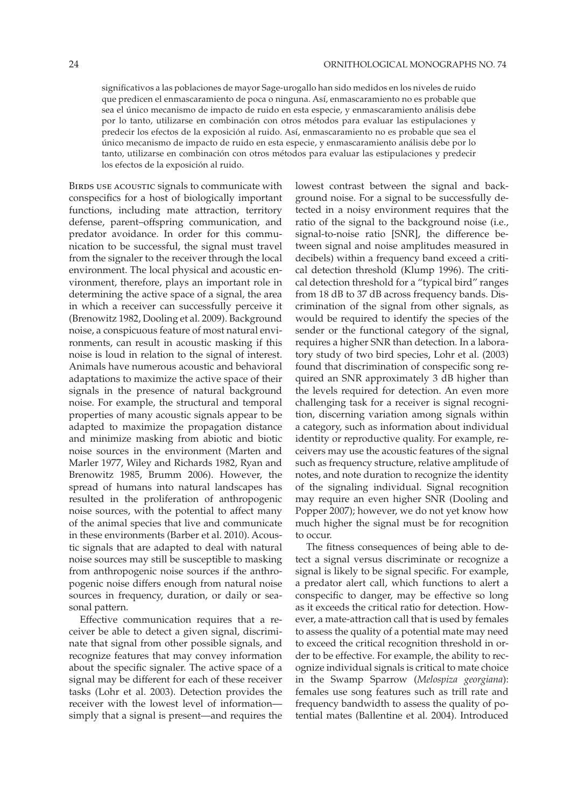significativos a las poblaciones de mayor Sage-urogallo han sido medidos en los niveles de ruido que predicen el enmascaramiento de poca o ninguna. Así, enmascaramiento no es probable que sea el único mecanismo de impacto de ruido en esta especie, y enmascaramiento análisis debe por lo tanto, utilizarse en combinación con otros métodos para evaluar las estipulaciones y predecir los efectos de la exposición al ruido. Así, enmascaramiento no es probable que sea el único mecanismo de impacto de ruido en esta especie, y enmascaramiento análisis debe por lo tanto, utilizarse en combinación con otros métodos para evaluar las estipulaciones y predecir los efectos de la exposición al ruido.

BIRDS USE ACOUSTIC signals to communicate with conspecifics for a host of biologically important functions, including mate attraction, territory defense, parent–offspring communication, and predator avoidance. In order for this communication to be successful, the signal must travel from the signaler to the receiver through the local environment. The local physical and acoustic environment, therefore, plays an important role in determining the active space of a signal, the area in which a receiver can successfully perceive it (Brenowitz 1982, Dooling et al. 2009). Background noise, a conspicuous feature of most natural environments, can result in acoustic masking if this noise is loud in relation to the signal of interest. Animals have numerous acoustic and behavioral adaptations to maximize the active space of their signals in the presence of natural background noise. For example, the structural and temporal properties of many acoustic signals appear to be adapted to maximize the propagation distance and minimize masking from abiotic and biotic noise sources in the environment (Marten and Marler 1977, Wiley and Richards 1982, Ryan and Brenowitz 1985, Brumm 2006). However, the spread of humans into natural landscapes has resulted in the proliferation of anthropogenic noise sources, with the potential to affect many of the animal species that live and communicate in these environments (Barber et al. 2010). Acoustic signals that are adapted to deal with natural noise sources may still be susceptible to masking from anthropogenic noise sources if the anthropogenic noise differs enough from natural noise sources in frequency, duration, or daily or seasonal pattern.

Effective communication requires that a receiver be able to detect a given signal, discriminate that signal from other possible signals, and recognize features that may convey information about the specific signaler. The active space of a signal may be different for each of these receiver tasks (Lohr et al. 2003). Detection provides the receiver with the lowest level of information simply that a signal is present—and requires the

lowest contrast between the signal and background noise. For a signal to be successfully detected in a noisy environment requires that the ratio of the signal to the background noise (i.e., signal-to-noise ratio [SNR], the difference between signal and noise amplitudes measured in decibels) within a frequency band exceed a critical detection threshold (Klump 1996). The critical detection threshold for a "typical bird" ranges from 18 dB to 37 dB across frequency bands. Discrimination of the signal from other signals, as would be required to identify the species of the sender or the functional category of the signal, requires a higher SNR than detection. In a laboratory study of two bird species, Lohr et al. (2003) found that discrimination of conspecific song required an SNR approximately 3 dB higher than the levels required for detection. An even more challenging task for a receiver is signal recognition, discerning variation among signals within a category, such as information about individual identity or reproductive quality. For example, receivers may use the acoustic features of the signal such as frequency structure, relative amplitude of notes, and note duration to recognize the identity of the signaling individual. Signal recognition may require an even higher SNR (Dooling and Popper 2007); however, we do not yet know how much higher the signal must be for recognition to occur.

The fitness consequences of being able to detect a signal versus discriminate or recognize a signal is likely to be signal specific. For example, a predator alert call, which functions to alert a conspecific to danger, may be effective so long as it exceeds the critical ratio for detection. However, a mate-attraction call that is used by females to assess the quality of a potential mate may need to exceed the critical recognition threshold in order to be effective. For example, the ability to recognize individual signals is critical to mate choice in the Swamp Sparrow (*Melospiza georgiana*): females use song features such as trill rate and frequency bandwidth to assess the quality of potential mates (Ballentine et al. 2004). Introduced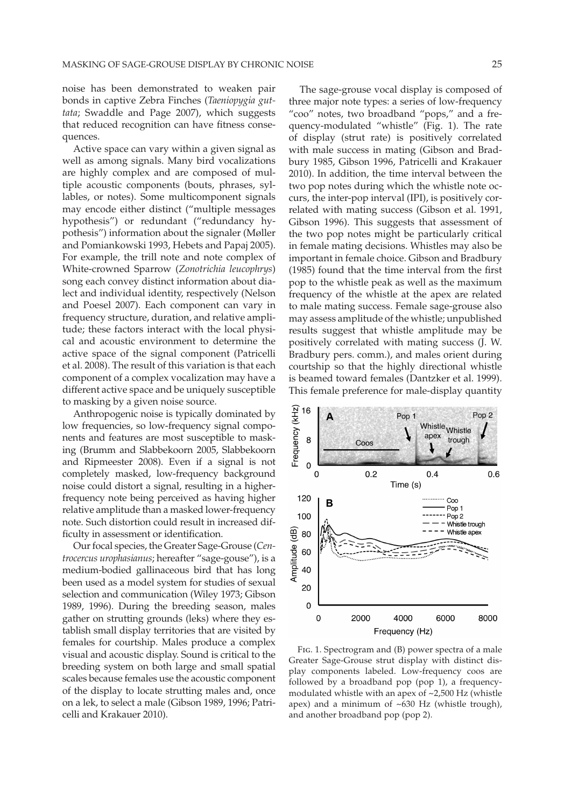noise has been demonstrated to weaken pair bonds in captive Zebra Finches (*Taeniopygia guttata*; Swaddle and Page 2007), which suggests that reduced recognition can have fitness consequences.

Active space can vary within a given signal as well as among signals. Many bird vocalizations are highly complex and are composed of multiple acoustic components (bouts, phrases, syllables, or notes). Some multicomponent signals may encode either distinct ("multiple messages hypothesis") or redundant ("redundancy hypothesis") information about the signaler (Møller and Pomiankowski 1993, Hebets and Papaj 2005). For example, the trill note and note complex of White-crowned Sparrow (*Zonotrichia leucophrys*) song each convey distinct information about dialect and individual identity, respectively (Nelson and Poesel 2007). Each component can vary in frequency structure, duration, and relative amplitude; these factors interact with the local physical and acoustic environment to determine the active space of the signal component (Patricelli et al. 2008). The result of this variation is that each component of a complex vocalization may have a different active space and be uniquely susceptible to masking by a given noise source.

Anthropogenic noise is typically dominated by low frequencies, so low-frequency signal components and features are most susceptible to masking (Brumm and Slabbekoorn 2005, Slabbekoorn and Ripmeester 2008). Even if a signal is not completely masked, low-frequency background noise could distort a signal, resulting in a higherfrequency note being perceived as having higher relative amplitude than a masked lower-frequency note. Such distortion could result in increased difficulty in assessment or identification.

Our focal species, the Greater Sage-Grouse (*Centrocercus urophasianus*; hereafter "sage-gouse"), is a medium-bodied gallinaceous bird that has long been used as a model system for studies of sexual selection and communication (Wiley 1973; Gibson 1989, 1996). During the breeding season, males gather on strutting grounds (leks) where they establish small display territories that are visited by females for courtship. Males produce a complex visual and acoustic display. Sound is critical to the breeding system on both large and small spatial scales because females use the acoustic component of the display to locate strutting males and, once on a lek, to select a male (Gibson 1989, 1996; Patricelli and Krakauer 2010).

The sage-grouse vocal display is composed of three major note types: a series of low-frequency "coo" notes, two broadband "pops," and a frequency-modulated "whistle" (Fig. 1). The rate of display (strut rate) is positively correlated with male success in mating (Gibson and Bradbury 1985, Gibson 1996, Patricelli and Krakauer 2010). In addition, the time interval between the two pop notes during which the whistle note occurs, the inter-pop interval (IPI), is positively correlated with mating success (Gibson et al. 1991, Gibson 1996). This suggests that assessment of the two pop notes might be particularly critical in female mating decisions. Whistles may also be important in female choice. Gibson and Bradbury (1985) found that the time interval from the first pop to the whistle peak as well as the maximum frequency of the whistle at the apex are related to male mating success. Female sage-grouse also may assess amplitude of the whistle; unpublished results suggest that whistle amplitude may be positively correlated with mating success (J. W. Bradbury pers. comm.), and males orient during courtship so that the highly directional whistle is beamed toward females (Dantzker et al. 1999). This female preference for male-display quantity



Fig. 1. Spectrogram and (B) power spectra of a male Greater Sage-Grouse strut display with distinct display components labeled. Low-frequency coos are followed by a broadband pop (pop 1), a frequencymodulated whistle with an apex of ~2,500 Hz (whistle apex) and a minimum of ~630 Hz (whistle trough), and another broadband pop (pop 2).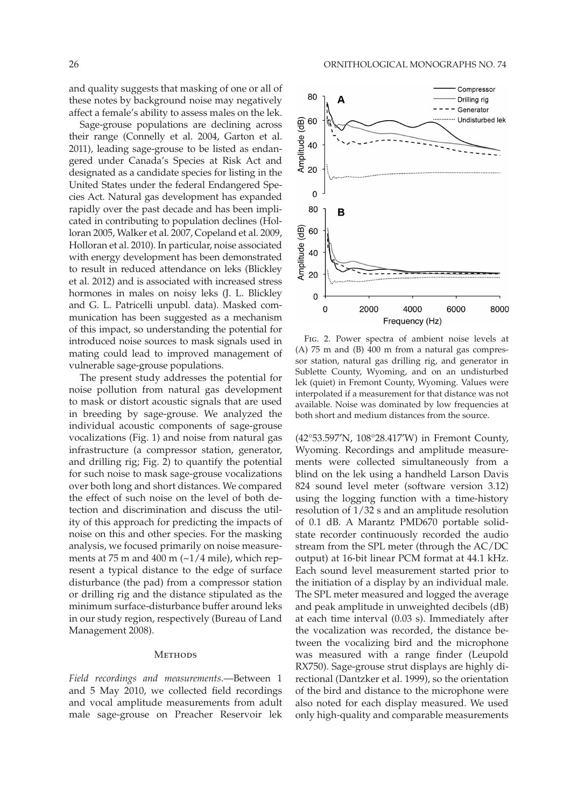and quality suggests that masking of one or all of these notes by background noise may negatively affect a female's ability to assess males on the lek.

Sage-grouse populations are declining across their range (Connelly et al. 2004, Garton et al. 2011), leading sage-grouse to be listed as endangered under Canada's Species at Risk Act and designated as a candidate species for listing in the United States under the federal Endangered Species Act. Natural gas development has expanded rapidly over the past decade and has been implicated in contributing to population declines (Holloran 2005, Walker et al. 2007, Copeland et al. 2009, Holloran et al. 2010). In particular, noise associated with energy development has been demonstrated to result in reduced attendance on leks (Blickley et al. 2012) and is associated with increased stress hormones in males on noisy leks (J. L. Blickley and G. L. Patricelli unpubl. data). Masked communication has been suggested as a mechanism of this impact, so understanding the potential for introduced noise sources to mask signals used in mating could lead to improved management of vulnerable sage-grouse populations.

The present study addresses the potential for noise pollution from natural gas development to mask or distort acoustic signals that are used in breeding by sage-grouse. We analyzed the individual acoustic components of sage-grouse vocalizations (Fig. 1) and noise from natural gas infrastructure (a compressor station, generator, and drilling rig; Fig. 2) to quantify the potential for such noise to mask sage-grouse vocalizations over both long and short distances. We compared the effect of such noise on the level of both detection and discrimination and discuss the utility of this approach for predicting the impacts of noise on this and other species. For the masking analysis, we focused primarily on noise measurements at 75 m and 400 m (~1/4 mile), which represent a typical distance to the edge of surface disturbance (the pad) from a compressor station or drilling rig and the distance stipulated as the minimum surface-disturbance buffer around leks in our study region, respectively (Bureau of Land Management 2008).

#### **METHODS**

*Field recordings and measurements*.—Between 1 and 5 May 2010, we collected field recordings and vocal amplitude measurements from adult male sage-grouse on Preacher Reservoir lek



Fig. 2. Power spectra of ambient noise levels at (A) 75 m and (B) 400 m from a natural gas compressor station, natural gas drilling rig, and generator in Sublette County, Wyoming, and on an undisturbed lek (quiet) in Fremont County, Wyoming. Values were interpolated if a measurement for that distance was not available. Noise was dominated by low frequencies at both short and medium distances from the source.

(42°53.597′N, 108°28.417′W) in Fremont County, Wyoming. Recordings and amplitude measurements were collected simultaneously from a blind on the lek using a handheld Larson Davis 824 sound level meter (software version 3.12) using the logging function with a time-history resolution of 1/32 s and an amplitude resolution of 0.1 dB. A Marantz PMD670 portable solidstate recorder continuously recorded the audio stream from the SPL meter (through the AC/DC output) at 16-bit linear PCM format at 44.1 kHz. Each sound level measurement started prior to the initiation of a display by an individual male. The SPL meter measured and logged the average and peak amplitude in unweighted decibels (dB) at each time interval (0.03 s). Immediately after the vocalization was recorded, the distance between the vocalizing bird and the microphone was measured with a range finder (Leupold RX750). Sage-grouse strut displays are highly directional (Dantzker et al. 1999), so the orientation of the bird and distance to the microphone were also noted for each display measured. We used only high-quality and comparable measurements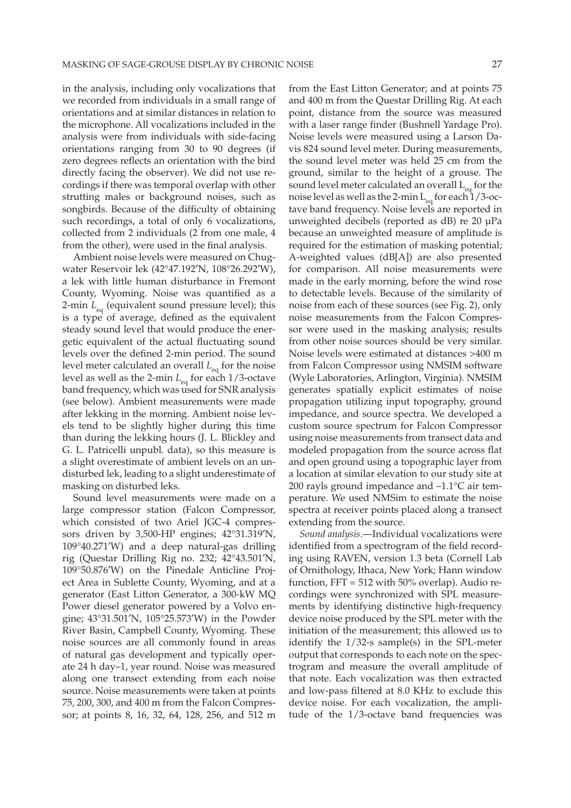in the analysis, including only vocalizations that we recorded from individuals in a small range of orientations and at similar distances in relation to the microphone. All vocalizations included in the analysis were from individuals with side-facing orientations ranging from 30 to 90 degrees (if zero degrees reflects an orientation with the bird directly facing the observer). We did not use recordings if there was temporal overlap with other strutting males or background noises, such as songbirds. Because of the difficulty of obtaining such recordings, a total of only 6 vocalizations, collected from 2 individuals (2 from one male, 4 from the other), were used in the final analysis.

Ambient noise levels were measured on Chugwater Reservoir lek (42°47.192′N, 108°26.292′W), a lek with little human disturbance in Fremont County, Wyoming. Noise was quantified as a 2-min *L*<sub>eq</sub> (equivalent sound pressure level); this is a type of average, defined as the equivalent steady sound level that would produce the energetic equivalent of the actual fluctuating sound levels over the defined 2-min period. The sound level meter calculated an overall *L*<sub>eq</sub> for the noise level as well as the 2-min  $L_{eq}$  for each 1/3-octave band frequency, which was used for SNR analysis (see below). Ambient measurements were made after lekking in the morning. Ambient noise levels tend to be slightly higher during this time than during the lekking hours (J. L. Blickley and G. L. Patricelli unpubl. data), so this measure is a slight overestimate of ambient levels on an undisturbed lek, leading to a slight underestimate of masking on disturbed leks.

Sound level measurements were made on a large compressor station (Falcon Compressor, which consisted of two Ariel JGC-4 compressors driven by 3,500-HP engines; 42°31.319′N, 109°40.271′W) and a deep natural-gas drilling rig (Questar Drilling Rig no. 232; 42°43.501′N, 109°50.876′W) on the Pinedale Anticline Project Area in Sublette County, Wyoming, and at a generator (East Litton Generator, a 300-kW MQ Power diesel generator powered by a Volvo engine; 43°31.501′N, 105°25.573′W) in the Powder River Basin, Campbell County, Wyoming. These noise sources are all commonly found in areas of natural gas development and typically operate 24 h day–1, year round. Noise was measured along one transect extending from each noise source. Noise measurements were taken at points 75, 200, 300, and 400 m from the Falcon Compressor; at points 8, 16, 32, 64, 128, 256, and 512 m

from the East Litton Generator; and at points 75 and 400 m from the Questar Drilling Rig. At each point, distance from the source was measured with a laser range finder (Bushnell Yardage Pro). Noise levels were measured using a Larson Davis 824 sound level meter. During measurements, the sound level meter was held 25 cm from the ground, similar to the height of a grouse. The sound level meter calculated an overall  $L_{eq}$  for the noise level as well as the 2-min  $L_{eq}$  for each 1/3-octave band frequency. Noise levels are reported in unweighted decibels (reported as dB) re 20 μPa because an unweighted measure of amplitude is required for the estimation of masking potential; A-weighted values (dB[A]) are also presented for comparison. All noise measurements were made in the early morning, before the wind rose to detectable levels. Because of the similarity of noise from each of these sources (see Fig. 2), only noise measurements from the Falcon Compressor were used in the masking analysis; results from other noise sources should be very similar. Noise levels were estimated at distances >400 m from Falcon Compressor using NMSIM software (Wyle Laboratories, Arlington, Virginia). NMSIM generates spatially explicit estimates of noise propagation utilizing input topography, ground impedance, and source spectra. We developed a custom source spectrum for Falcon Compressor using noise measurements from transect data and modeled propagation from the source across flat and open ground using a topographic layer from a location at similar elevation to our study site at 200 rayls ground impedance and –1.1°C air temperature. We used NMSim to estimate the noise spectra at receiver points placed along a transect extending from the source.

*Sound analysis*.—Individual vocalizations were identified from a spectrogram of the field recording using RAVEN, version 1.3 beta (Cornell Lab of Ornithology, Ithaca, New York; Hann window function,  $FFT = 512$  with  $50\%$  overlap). Audio recordings were synchronized with SPL measurements by identifying distinctive high-frequency device noise produced by the SPL meter with the initiation of the measurement; this allowed us to identify the 1/32-s sample(s) in the SPL-meter output that corresponds to each note on the spectrogram and measure the overall amplitude of that note. Each vocalization was then extracted and low-pass filtered at 8.0 KHz to exclude this device noise. For each vocalization, the amplitude of the 1/3-octave band frequencies was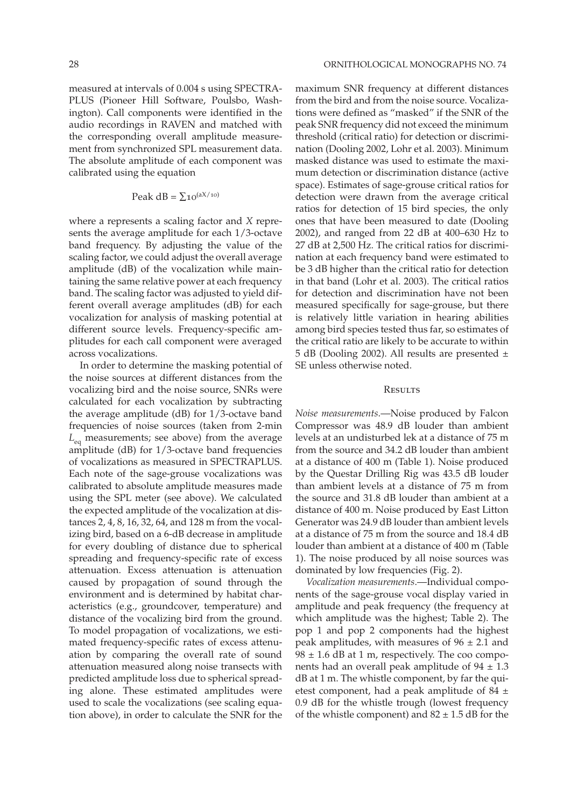measured at intervals of 0.004 s using SPECTRA-PLUS (Pioneer Hill Software, Poulsbo, Washington). Call components were identified in the audio recordings in RAVEN and matched with the corresponding overall amplitude measurement from synchronized SPL measurement data. The absolute amplitude of each component was calibrated using the equation

Peak dB = 
$$
\sum_{10}^{(aX/10)}
$$

where a represents a scaling factor and *X* represents the average amplitude for each 1/3-octave band frequency. By adjusting the value of the scaling factor, we could adjust the overall average amplitude (dB) of the vocalization while maintaining the same relative power at each frequency band. The scaling factor was adjusted to yield different overall average amplitudes (dB) for each vocalization for analysis of masking potential at different source levels. Frequency-specific amplitudes for each call component were averaged across vocalizations.

In order to determine the masking potential of the noise sources at different distances from the vocalizing bird and the noise source, SNRs were calculated for each vocalization by subtracting the average amplitude (dB) for 1/3-octave band frequencies of noise sources (taken from 2-min *L*eq measurements; see above) from the average amplitude (dB) for 1/3-octave band frequencies of vocalizations as measured in SPECTRAPLUS. Each note of the sage-grouse vocalizations was calibrated to absolute amplitude measures made using the SPL meter (see above). We calculated the expected amplitude of the vocalization at distances 2, 4, 8, 16, 32, 64, and 128 m from the vocalizing bird, based on a 6-dB decrease in amplitude for every doubling of distance due to spherical spreading and frequency-specific rate of excess attenuation. Excess attenuation is attenuation caused by propagation of sound through the environment and is determined by habitat characteristics (e.g., groundcover, temperature) and distance of the vocalizing bird from the ground. To model propagation of vocalizations, we estimated frequency-specific rates of excess attenuation by comparing the overall rate of sound attenuation measured along noise transects with predicted amplitude loss due to spherical spreading alone. These estimated amplitudes were used to scale the vocalizations (see scaling equation above), in order to calculate the SNR for the

maximum SNR frequency at different distances from the bird and from the noise source. Vocalizations were defined as "masked" if the SNR of the peak SNR frequency did not exceed the minimum threshold (critical ratio) for detection or discrimination (Dooling 2002, Lohr et al. 2003). Minimum masked distance was used to estimate the maximum detection or discrimination distance (active space). Estimates of sage-grouse critical ratios for detection were drawn from the average critical ratios for detection of 15 bird species, the only ones that have been measured to date (Dooling 2002), and ranged from 22 dB at 400–630 Hz to 27 dB at 2,500 Hz. The critical ratios for discrimination at each frequency band were estimated to be 3 dB higher than the critical ratio for detection in that band (Lohr et al. 2003). The critical ratios for detection and discrimination have not been measured specifically for sage-grouse, but there is relatively little variation in hearing abilities among bird species tested thus far, so estimates of the critical ratio are likely to be accurate to within 5 dB (Dooling 2002). All results are presented  $\pm$ SE unless otherwise noted.

#### **RESULTS**

*Noise measurements*.—Noise produced by Falcon Compressor was 48.9 dB louder than ambient levels at an undisturbed lek at a distance of 75 m from the source and 34.2 dB louder than ambient at a distance of 400 m (Table 1). Noise produced by the Questar Drilling Rig was 43.5 dB louder than ambient levels at a distance of 75 m from the source and 31.8 dB louder than ambient at a distance of 400 m. Noise produced by East Litton Generator was 24.9 dB louder than ambient levels at a distance of 75 m from the source and 18.4 dB louder than ambient at a distance of 400 m (Table 1). The noise produced by all noise sources was dominated by low frequencies (Fig. 2).

*Vocalization measurements*.—Individual components of the sage-grouse vocal display varied in amplitude and peak frequency (the frequency at which amplitude was the highest; Table 2). The pop 1 and pop 2 components had the highest peak amplitudes, with measures of  $96 \pm 2.1$  and  $98 \pm 1.6$  dB at 1 m, respectively. The coo components had an overall peak amplitude of  $94 \pm 1.3$ dB at 1 m. The whistle component, by far the quietest component, had a peak amplitude of 84 ± 0.9 dB for the whistle trough (lowest frequency of the whistle component) and  $82 \pm 1.5$  dB for the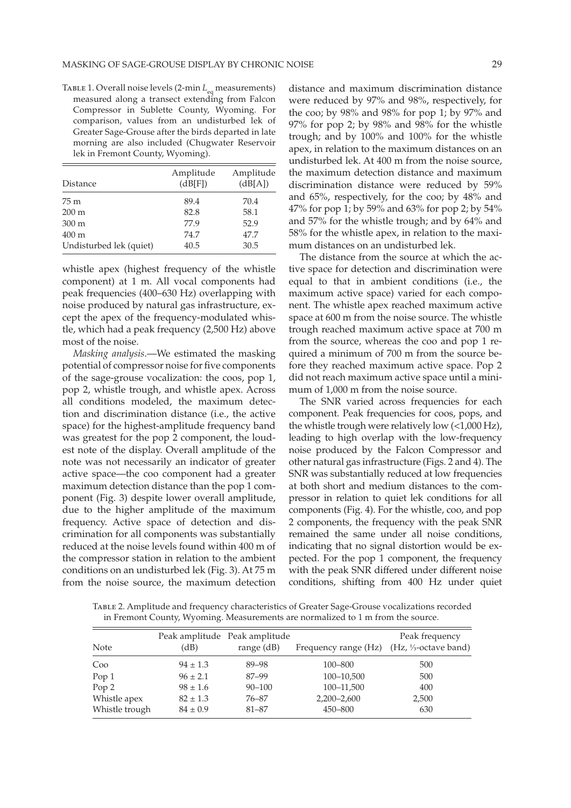TABLE 1. Overall noise levels (2-min *L*<sub>eq</sub> measurements) measured along a transect extending from Falcon Compressor in Sublette County, Wyoming. For comparison, values from an undisturbed lek of Greater Sage-Grouse after the birds departed in late morning are also included (Chugwater Reservoir lek in Fremont County, Wyoming).

| Distance                | Amplitude<br>(dB[F]) | Amplitude<br>(dB[A]) |
|-------------------------|----------------------|----------------------|
| 75 m                    | 89.4                 | 70.4                 |
| $200 \text{ m}$         | 82.8                 | 58.1                 |
| $300 \text{ m}$         | 77.9                 | 52.9                 |
| $400 \text{ m}$         | 74.7                 | 47.7                 |
| Undisturbed lek (quiet) | 40.5                 | 30.5                 |
|                         |                      |                      |

whistle apex (highest frequency of the whistle component) at 1 m. All vocal components had peak frequencies (400–630 Hz) overlapping with noise produced by natural gas infrastructure, except the apex of the frequency-modulated whistle, which had a peak frequency (2,500 Hz) above most of the noise.

*Masking analysis*.—We estimated the masking potential of compressor noise for five components of the sage-grouse vocalization: the coos, pop 1, pop 2, whistle trough, and whistle apex. Across all conditions modeled, the maximum detection and discrimination distance (i.e., the active space) for the highest-amplitude frequency band was greatest for the pop 2 component, the loudest note of the display. Overall amplitude of the note was not necessarily an indicator of greater active space—the coo component had a greater maximum detection distance than the pop 1 component (Fig. 3) despite lower overall amplitude, due to the higher amplitude of the maximum frequency. Active space of detection and discrimination for all components was substantially reduced at the noise levels found within 400 m of the compressor station in relation to the ambient conditions on an undisturbed lek (Fig. 3). At 75 m from the noise source, the maximum detection

distance and maximum discrimination distance were reduced by 97% and 98%, respectively, for the coo; by 98% and 98% for pop 1; by 97% and 97% for pop 2; by 98% and 98% for the whistle trough; and by 100% and 100% for the whistle apex, in relation to the maximum distances on an undisturbed lek. At 400 m from the noise source, the maximum detection distance and maximum discrimination distance were reduced by 59% and 65%, respectively, for the coo; by 48% and 47% for pop 1; by 59% and 63% for pop 2; by 54% and 57% for the whistle trough; and by 64% and 58% for the whistle apex, in relation to the maximum distances on an undisturbed lek.

The distance from the source at which the active space for detection and discrimination were equal to that in ambient conditions (i.e., the maximum active space) varied for each component. The whistle apex reached maximum active space at 600 m from the noise source. The whistle trough reached maximum active space at 700 m from the source, whereas the coo and pop 1 required a minimum of 700 m from the source before they reached maximum active space. Pop 2 did not reach maximum active space until a minimum of 1,000 m from the noise source.

The SNR varied across frequencies for each component. Peak frequencies for coos, pops, and the whistle trough were relatively low (<1,000 Hz), leading to high overlap with the low-frequency noise produced by the Falcon Compressor and other natural gas infrastructure (Figs. 2 and 4). The SNR was substantially reduced at low frequencies at both short and medium distances to the compressor in relation to quiet lek conditions for all components (Fig. 4). For the whistle, coo, and pop 2 components, the frequency with the peak SNR remained the same under all noise conditions, indicating that no signal distortion would be expected. For the pop 1 component, the frequency with the peak SNR differed under different noise conditions, shifting from 400 Hz under quiet

Table 2. Amplitude and frequency characteristics of Greater Sage-Grouse vocalizations recorded in Fremont County, Wyoming. Measurements are normalized to 1 m from the source.

| <b>Note</b>    | (dB)         | Peak amplitude Peak amplitude<br>range $(dB)$ | Frequency range (Hz) $(Hz, \frac{1}{3} - \text{octave band})$ | Peak frequency |
|----------------|--------------|-----------------------------------------------|---------------------------------------------------------------|----------------|
| Coo            | $94 \pm 1.3$ | 89-98                                         | 100-800                                                       | 500            |
| Pop 1          | $96 \pm 2.1$ | 87-99                                         | 100-10,500                                                    | 500            |
| Pop 2          | $98 \pm 1.6$ | $90 - 100$                                    | 100-11,500                                                    | 400            |
| Whistle apex   | $82 \pm 1.3$ | 76-87                                         | $2,200 - 2,600$                                               | 2,500          |
| Whistle trough | $84 \pm 0.9$ | $81 - 87$                                     | 450-800                                                       | 630            |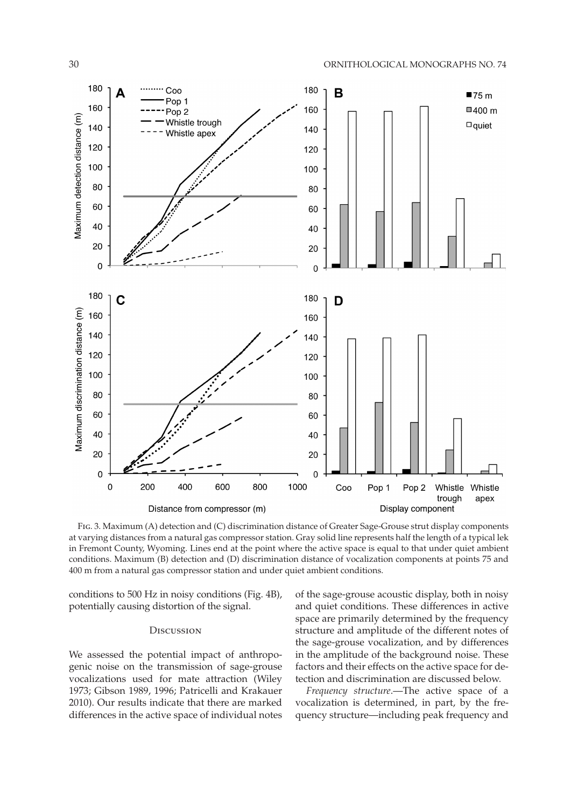

Fig. 3. Maximum (A) detection and (C) discrimination distance of Greater Sage-Grouse strut display components at varying distances from a natural gas compressor station. Gray solid line represents half the length of a typical lek in Fremont County, Wyoming. Lines end at the point where the active space is equal to that under quiet ambient conditions. Maximum (B) detection and (D) discrimination distance of vocalization components at points 75 and 400 m from a natural gas compressor station and under quiet ambient conditions.

conditions to 500 Hz in noisy conditions (Fig. 4B), potentially causing distortion of the signal.

## **DISCUSSION**

We assessed the potential impact of anthropogenic noise on the transmission of sage-grouse vocalizations used for mate attraction (Wiley 1973; Gibson 1989, 1996; Patricelli and Krakauer 2010). Our results indicate that there are marked differences in the active space of individual notes of the sage-grouse acoustic display, both in noisy and quiet conditions. These differences in active space are primarily determined by the frequency structure and amplitude of the different notes of the sage-grouse vocalization, and by differences in the amplitude of the background noise. These factors and their effects on the active space for detection and discrimination are discussed below.

*Frequency structure*.—The active space of a vocalization is determined, in part, by the frequency structure—including peak frequency and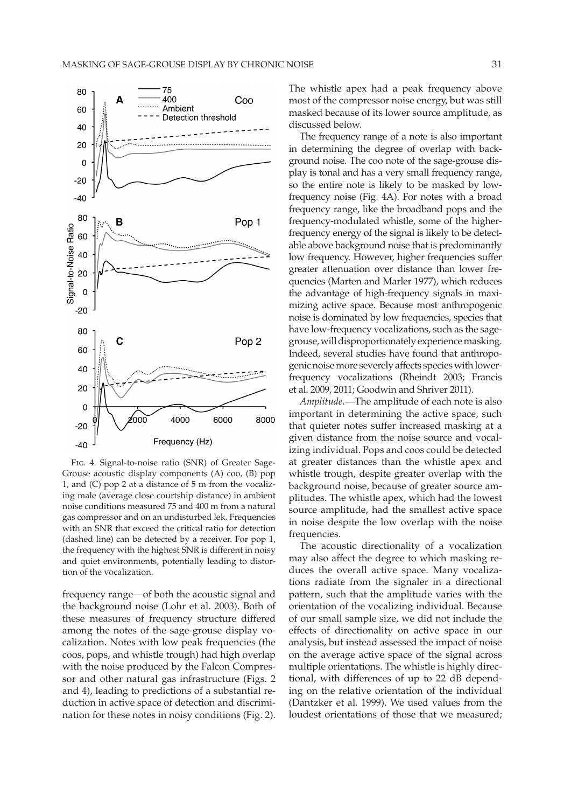

Fig. 4. Signal-to-noise ratio (SNR) of Greater Sage-Grouse acoustic display components (A) coo, (B) pop 1, and (C) pop 2 at a distance of 5 m from the vocalizing male (average close courtship distance) in ambient noise conditions measured 75 and 400 m from a natural gas compressor and on an undisturbed lek. Frequencies with an SNR that exceed the critical ratio for detection (dashed line) can be detected by a receiver. For pop 1, the frequency with the highest SNR is different in noisy and quiet environments, potentially leading to distortion of the vocalization.

frequency range—of both the acoustic signal and the background noise (Lohr et al. 2003). Both of these measures of frequency structure differed among the notes of the sage-grouse display vocalization. Notes with low peak frequencies (the coos, pops, and whistle trough) had high overlap with the noise produced by the Falcon Compressor and other natural gas infrastructure (Figs. 2 and 4), leading to predictions of a substantial reduction in active space of detection and discrimination for these notes in noisy conditions (Fig. 2).

The whistle apex had a peak frequency above most of the compressor noise energy, but was still masked because of its lower source amplitude, as discussed below.

The frequency range of a note is also important in determining the degree of overlap with background noise. The coo note of the sage-grouse display is tonal and has a very small frequency range, so the entire note is likely to be masked by lowfrequency noise (Fig. 4A). For notes with a broad frequency range, like the broadband pops and the frequency-modulated whistle, some of the higherfrequency energy of the signal is likely to be detectable above background noise that is predominantly low frequency. However, higher frequencies suffer greater attenuation over distance than lower frequencies (Marten and Marler 1977), which reduces the advantage of high-frequency signals in maximizing active space. Because most anthropogenic noise is dominated by low frequencies, species that have low-frequency vocalizations, such as the sagegrouse, will disproportionately experience masking. Indeed, several studies have found that anthropogenic noise more severely affects species with lowerfrequency vocalizations (Rheindt 2003; Francis et al. 2009, 2011; Goodwin and Shriver 2011).

*Amplitude*.—The amplitude of each note is also important in determining the active space, such that quieter notes suffer increased masking at a given distance from the noise source and vocalizing individual. Pops and coos could be detected at greater distances than the whistle apex and whistle trough, despite greater overlap with the background noise, because of greater source amplitudes. The whistle apex, which had the lowest source amplitude, had the smallest active space in noise despite the low overlap with the noise frequencies.

The acoustic directionality of a vocalization may also affect the degree to which masking reduces the overall active space. Many vocalizations radiate from the signaler in a directional pattern, such that the amplitude varies with the orientation of the vocalizing individual. Because of our small sample size, we did not include the effects of directionality on active space in our analysis, but instead assessed the impact of noise on the average active space of the signal across multiple orientations. The whistle is highly directional, with differences of up to 22 dB depending on the relative orientation of the individual (Dantzker et al. 1999). We used values from the loudest orientations of those that we measured;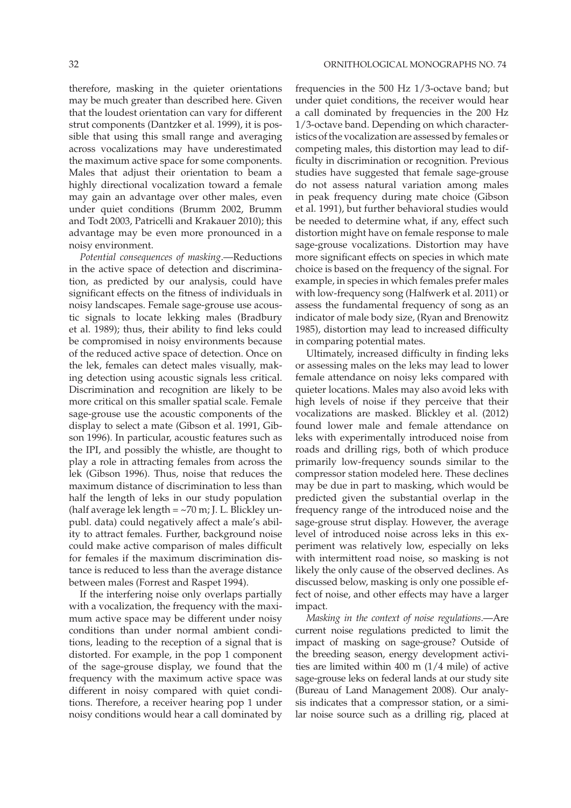therefore, masking in the quieter orientations may be much greater than described here. Given that the loudest orientation can vary for different strut components (Dantzker et al. 1999), it is possible that using this small range and averaging across vocalizations may have underestimated the maximum active space for some components. Males that adjust their orientation to beam a highly directional vocalization toward a female may gain an advantage over other males, even under quiet conditions (Brumm 2002, Brumm and Todt 2003, Patricelli and Krakauer 2010); this advantage may be even more pronounced in a noisy environment.

*Potential consequences of masking*.—Reductions in the active space of detection and discrimination, as predicted by our analysis, could have significant effects on the fitness of individuals in noisy landscapes. Female sage-grouse use acoustic signals to locate lekking males (Bradbury et al. 1989); thus, their ability to find leks could be compromised in noisy environments because of the reduced active space of detection. Once on the lek, females can detect males visually, making detection using acoustic signals less critical. Discrimination and recognition are likely to be more critical on this smaller spatial scale. Female sage-grouse use the acoustic components of the display to select a mate (Gibson et al. 1991, Gibson 1996). In particular, acoustic features such as the IPI, and possibly the whistle, are thought to play a role in attracting females from across the lek (Gibson 1996). Thus, noise that reduces the maximum distance of discrimination to less than half the length of leks in our study population (half average lek length = ~70 m; J. L. Blickley unpubl. data) could negatively affect a male's ability to attract females. Further, background noise could make active comparison of males difficult for females if the maximum discrimination distance is reduced to less than the average distance between males (Forrest and Raspet 1994).

If the interfering noise only overlaps partially with a vocalization, the frequency with the maximum active space may be different under noisy conditions than under normal ambient conditions, leading to the reception of a signal that is distorted. For example, in the pop 1 component of the sage-grouse display, we found that the frequency with the maximum active space was different in noisy compared with quiet conditions. Therefore, a receiver hearing pop 1 under noisy conditions would hear a call dominated by

frequencies in the 500 Hz 1/3-octave band; but under quiet conditions, the receiver would hear a call dominated by frequencies in the 200 Hz 1/3-octave band. Depending on which characteristics of the vocalization are assessed by females or competing males, this distortion may lead to difficulty in discrimination or recognition. Previous studies have suggested that female sage-grouse do not assess natural variation among males in peak frequency during mate choice (Gibson et al. 1991), but further behavioral studies would be needed to determine what, if any, effect such distortion might have on female response to male sage-grouse vocalizations. Distortion may have more significant effects on species in which mate choice is based on the frequency of the signal. For example, in species in which females prefer males with low-frequency song (Halfwerk et al. 2011) or assess the fundamental frequency of song as an indicator of male body size, (Ryan and Brenowitz 1985), distortion may lead to increased difficulty in comparing potential mates.

Ultimately, increased difficulty in finding leks or assessing males on the leks may lead to lower female attendance on noisy leks compared with quieter locations. Males may also avoid leks with high levels of noise if they perceive that their vocalizations are masked. Blickley et al. (2012) found lower male and female attendance on leks with experimentally introduced noise from roads and drilling rigs, both of which produce primarily low-frequency sounds similar to the compressor station modeled here. These declines may be due in part to masking, which would be predicted given the substantial overlap in the frequency range of the introduced noise and the sage-grouse strut display. However, the average level of introduced noise across leks in this experiment was relatively low, especially on leks with intermittent road noise, so masking is not likely the only cause of the observed declines. As discussed below, masking is only one possible effect of noise, and other effects may have a larger impact.

*Masking in the context of noise regulations*.—Are current noise regulations predicted to limit the impact of masking on sage-grouse? Outside of the breeding season, energy development activities are limited within 400 m (1/4 mile) of active sage-grouse leks on federal lands at our study site (Bureau of Land Management 2008). Our analysis indicates that a compressor station, or a similar noise source such as a drilling rig, placed at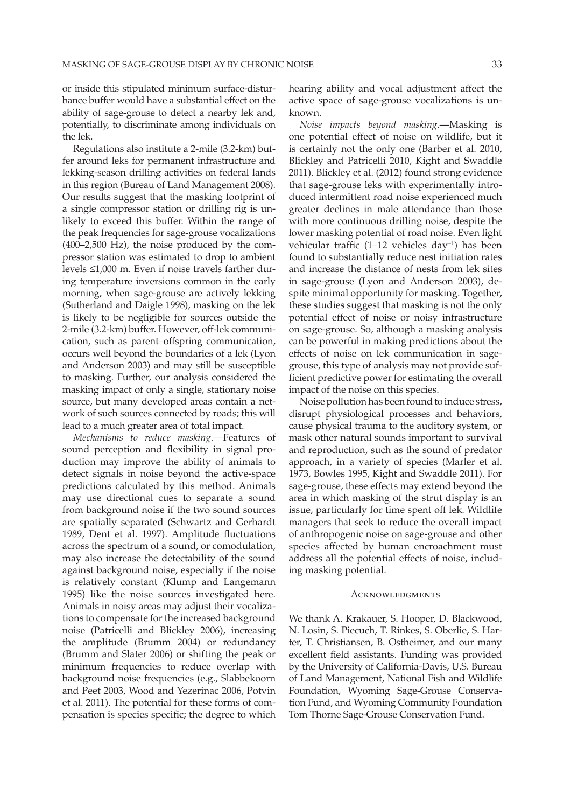or inside this stipulated minimum surface-disturbance buffer would have a substantial effect on the ability of sage-grouse to detect a nearby lek and, potentially, to discriminate among individuals on the lek.

Regulations also institute a 2-mile (3.2-km) buffer around leks for permanent infrastructure and lekking-season drilling activities on federal lands in this region (Bureau of Land Management 2008). Our results suggest that the masking footprint of a single compressor station or drilling rig is unlikely to exceed this buffer. Within the range of the peak frequencies for sage-grouse vocalizations (400–2,500 Hz), the noise produced by the compressor station was estimated to drop to ambient levels ≤1,000 m. Even if noise travels farther during temperature inversions common in the early morning, when sage-grouse are actively lekking (Sutherland and Daigle 1998), masking on the lek is likely to be negligible for sources outside the 2-mile (3.2-km) buffer. However, off-lek communication, such as parent–offspring communication, occurs well beyond the boundaries of a lek (Lyon and Anderson 2003) and may still be susceptible to masking. Further, our analysis considered the masking impact of only a single, stationary noise source, but many developed areas contain a network of such sources connected by roads; this will lead to a much greater area of total impact.

*Mechanisms to reduce masking*.—Features of sound perception and flexibility in signal production may improve the ability of animals to detect signals in noise beyond the active-space predictions calculated by this method. Animals may use directional cues to separate a sound from background noise if the two sound sources are spatially separated (Schwartz and Gerhardt 1989, Dent et al. 1997). Amplitude fluctuations across the spectrum of a sound, or comodulation, may also increase the detectability of the sound against background noise, especially if the noise is relatively constant (Klump and Langemann 1995) like the noise sources investigated here. Animals in noisy areas may adjust their vocalizations to compensate for the increased background noise (Patricelli and Blickley 2006), increasing the amplitude (Brumm 2004) or redundancy (Brumm and Slater 2006) or shifting the peak or minimum frequencies to reduce overlap with background noise frequencies (e.g., Slabbekoorn and Peet 2003, Wood and Yezerinac 2006, Potvin et al. 2011). The potential for these forms of compensation is species specific; the degree to which

hearing ability and vocal adjustment affect the active space of sage-grouse vocalizations is unknown.

*Noise impacts beyond masking*.—Masking is one potential effect of noise on wildlife, but it is certainly not the only one (Barber et al. 2010, Blickley and Patricelli 2010, Kight and Swaddle 2011). Blickley et al. (2012) found strong evidence that sage-grouse leks with experimentally introduced intermittent road noise experienced much greater declines in male attendance than those with more continuous drilling noise, despite the lower masking potential of road noise. Even light vehicular traffic  $(1-12 \text{ vehicles day}^{-1})$  has been found to substantially reduce nest initiation rates and increase the distance of nests from lek sites in sage-grouse (Lyon and Anderson 2003), despite minimal opportunity for masking. Together, these studies suggest that masking is not the only potential effect of noise or noisy infrastructure on sage-grouse. So, although a masking analysis can be powerful in making predictions about the effects of noise on lek communication in sagegrouse, this type of analysis may not provide sufficient predictive power for estimating the overall impact of the noise on this species.

Noise pollution has been found to induce stress, disrupt physiological processes and behaviors, cause physical trauma to the auditory system, or mask other natural sounds important to survival and reproduction, such as the sound of predator approach, in a variety of species (Marler et al. 1973, Bowles 1995, Kight and Swaddle 2011). For sage-grouse, these effects may extend beyond the area in which masking of the strut display is an issue, particularly for time spent off lek. Wildlife managers that seek to reduce the overall impact of anthropogenic noise on sage-grouse and other species affected by human encroachment must address all the potential effects of noise, including masking potential.

#### **ACKNOWLEDGMENTS**

We thank A. Krakauer, S. Hooper, D. Blackwood, N. Losin, S. Piecuch, T. Rinkes, S. Oberlie, S. Harter, T. Christiansen, B. Ostheimer, and our many excellent field assistants. Funding was provided by the University of California-Davis, U.S. Bureau of Land Management, National Fish and Wildlife Foundation, Wyoming Sage-Grouse Conservation Fund, and Wyoming Community Foundation Tom Thorne Sage-Grouse Conservation Fund.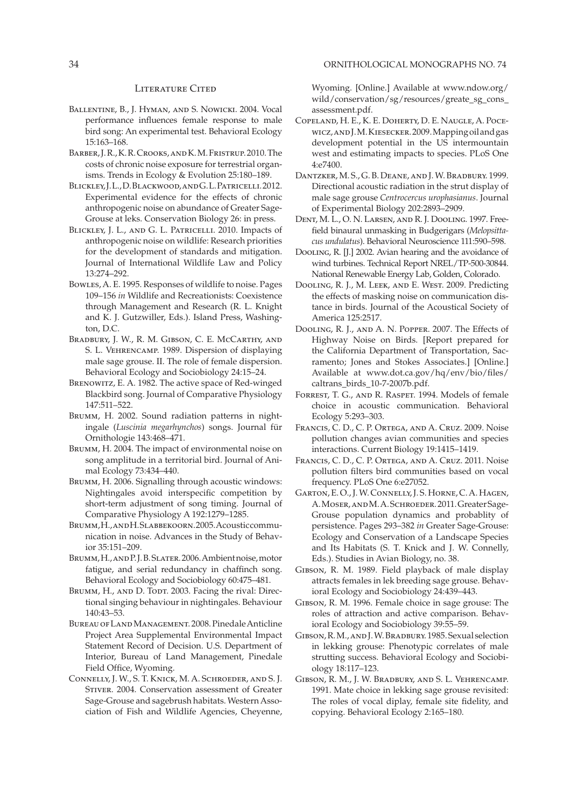#### LITERATURE CITED

- Ballentine, B., J. Hyman, and S. Nowicki. 2004. Vocal performance influences female response to male bird song: An experimental test. Behavioral Ecology 15:163–168.
- Barber, J. R., K. R. Crooks, and K. M. Fristrup. 2010. The costs of chronic noise exposure for terrestrial organisms. Trends in Ecology & Evolution 25:180–189.
- Blickley, J. L., D. Blackwood, and G. L. Patricelli. 2012. Experimental evidence for the effects of chronic anthropogenic noise on abundance of Greater Sage-Grouse at leks. Conservation Biology 26: in press.
- BLICKLEY, J. L., AND G. L. PATRICELLI. 2010. Impacts of anthropogenic noise on wildlife: Research priorities for the development of standards and mitigation. Journal of International Wildlife Law and Policy 13:274–292.
- Bowles, A. E. 1995. Responses of wildlife to noise. Pages 109–156 *in* Wildlife and Recreationists: Coexistence through Management and Research (R. L. Knight and K. J. Gutzwiller, Eds.). Island Press, Washington, D.C.
- BRADBURY, J. W., R. M. GIBSON, C. E. MCCARTHY, AND S. L. Vehrencamp. 1989. Dispersion of displaying male sage grouse. II. The role of female dispersion. Behavioral Ecology and Sociobiology 24:15–24.
- Brenowitz, E. A. 1982. The active space of Red-winged Blackbird song. Journal of Comparative Physiology 147:511–522.
- Brumm, H. 2002. Sound radiation patterns in nightingale (*Luscinia megarhynchos*) songs. Journal für Ornithologie 143:468–471.
- BRUMM, H. 2004. The impact of environmental noise on song amplitude in a territorial bird. Journal of Animal Ecology 73:434–440.
- Brumm, H. 2006. Signalling through acoustic windows: Nightingales avoid interspecific competition by short-term adjustment of song timing. Journal of Comparative Physiology A 192:1279–1285.
- BRUMM, H., ANDH. SLABBEKOORN. 2005. Acoustic communication in noise. Advances in the Study of Behavior 35:151–209.
- Brumm, H., and P. J. B. Slater. 2006. Ambient noise, motor fatigue, and serial redundancy in chaffinch song. Behavioral Ecology and Sociobiology 60:475–481.
- BRUMM, H., AND D. TODT. 2003. Facing the rival: Directional singing behaviour in nightingales. Behaviour 140:43–53.
- Bureau of Land Management. 2008. Pinedale Anticline Project Area Supplemental Environmental Impact Statement Record of Decision. U.S. Department of Interior, Bureau of Land Management, Pinedale Field Office, Wyoming.
- Connelly, J. W., S. T. Knick, M. A. Schroeder, and S. J. STIVER. 2004. Conservation assessment of Greater Sage-Grouse and sagebrush habitats. Western Association of Fish and Wildlife Agencies, Cheyenne,

Wyoming. [Online.] Available at [www.ndow.org/](http://www.ndow.org/wild/conservation/sg/resources/greate_sg_cons_assessment.pdf) [wild/conservation/sg/resources/greate\\_sg\\_cons\\_](http://www.ndow.org/wild/conservation/sg/resources/greate_sg_cons_assessment.pdf) [assessment.pdf.](http://www.ndow.org/wild/conservation/sg/resources/greate_sg_cons_assessment.pdf)

- Copeland, H. E., K. E. Doherty, D. E. Naugle, A. Pocewicz, and J. M. Kiesecker. 2009. Mapping oil and gas development potential in the US intermountain west and estimating impacts to species. PLoS One 4:e7400.
- Dantzker, M. S., G. B. Deane, and J. W. Bradbury. 1999. Directional acoustic radiation in the strut display of male sage grouse *Centrocercus urophasianus*. Journal of Experimental Biology 202:2893–2909.
- Dent, M. L., O. N. Larsen, and R. J. Dooling. 1997. Freefield binaural unmasking in Budgerigars (*Melopsittacus undulatus*). Behavioral Neuroscience 111:590–598.
- Dooling, R. [J.] 2002. Avian hearing and the avoidance of wind turbines. Technical Report NREL/TP-500-30844. National Renewable Energy Lab, Golden, Colorado.
- Dooling, R. J., M. Leek, and E. West. 2009. Predicting the effects of masking noise on communication distance in birds. Journal of the Acoustical Society of America 125:2517.
- Dooling, R. J., and A. N. Popper. 2007. The Effects of Highway Noise on Birds. [Report prepared for the California Department of Transportation, Sacramento; Jones and Stokes Associates.] [Online.] Available at [www.dot.ca.gov/hq/env/bio/files/](http://www.dot.ca.gov/hq/env/bio/files/caltrans_birds_10-7-2007b.pdf) [caltrans\\_birds\\_10-7-2007b.pdf.](http://www.dot.ca.gov/hq/env/bio/files/caltrans_birds_10-7-2007b.pdf)
- Forrest, T. G., and R. Raspet. 1994. Models of female choice in acoustic communication. Behavioral Ecology 5:293–303.
- Francis, C. D., C. P. Ortega, and A. Cruz. 2009. Noise pollution changes avian communities and species interactions. Current Biology 19:1415–1419.
- Francis, C. D., C. P. Ortega, and A. Cruz. 2011. Noise pollution filters bird communities based on vocal frequency. PLoS One 6:e27052.
- Garton, E. O., J. W. Connelly, J. S. Horne, C. A. Hagen, A. Moser, and M. A. Schroeder. 2011. Greater Sage-Grouse population dynamics and probablity of persistence. Pages 293–382 *in* Greater Sage-Grouse: Ecology and Conservation of a Landscape Species and Its Habitats (S. T. Knick and J. W. Connelly, Eds.). Studies in Avian Biology, no. 38.
- Gibson, R. M. 1989. Field playback of male display attracts females in lek breeding sage grouse. Behavioral Ecology and Sociobiology 24:439–443.
- Gibson, R. M. 1996. Female choice in sage grouse: The roles of attraction and active comparison. Behavioral Ecology and Sociobiology 39:55–59.
- Gibson, R. M., and J. W. Bradbury. 1985. Sexual selection in lekking grouse: Phenotypic correlates of male strutting success. Behavioral Ecology and Sociobiology 18:117–123.
- Gibson, R. M., J. W. Bradbury, and S. L. Vehrencamp. 1991. Mate choice in lekking sage grouse revisited: The roles of vocal diplay, female site fidelity, and copying. Behavioral Ecology 2:165–180.